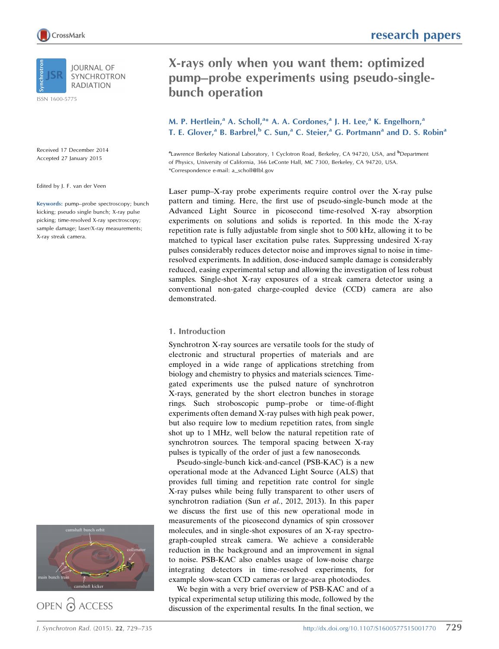

**IOURNAL OF SYNCHROTRON RADIATION** 

ISSN 1600-5775

Received 17 December 2014 Accepted 27 January 2015

Edited by J. F. van der Veen

Keywords: pump–probe spectroscopy; bunch kicking; pseudo single bunch; X-ray pulse picking; time-resolved X-ray spectroscopy; sample damage; laser/X-ray measurements; X-ray streak camera.



OPEN @ ACCESS

# X-rays only when you want them: optimized pump–probe experiments using pseudo-singlebunch operation

M. P. Hertlein,<sup>a</sup> A. Scholl,<sup>a\*</sup> A. A. Cordones,<sup>a</sup> J. H. Lee,<sup>a</sup> K. Engelhorn,<sup>a</sup> T. E. Glover,<sup>a</sup> B. Barbrel,<sup>b</sup> C. Sun,<sup>a</sup> C. Steier,<sup>a</sup> G. Portmann<sup>a</sup> and D. S. Robin<sup>a</sup>

<sup>a</sup>Lawrence Berkeley National Laboratory, 1 Cyclotron Road, Berkeley, CA 94720, USA, and <sup>b</sup>Department of Physics, University of California, 366 LeConte Hall, MC 7300, Berkeley, CA 94720, USA. \*Correspondence e-mail: a\_scholl@lbl.gov

Laser pump–X-ray probe experiments require control over the X-ray pulse pattern and timing. Here, the first use of pseudo-single-bunch mode at the Advanced Light Source in picosecond time-resolved X-ray absorption experiments on solutions and solids is reported. In this mode the X-ray repetition rate is fully adjustable from single shot to 500 kHz, allowing it to be matched to typical laser excitation pulse rates. Suppressing undesired X-ray pulses considerably reduces detector noise and improves signal to noise in timeresolved experiments. In addition, dose-induced sample damage is considerably reduced, easing experimental setup and allowing the investigation of less robust samples. Single-shot X-ray exposures of a streak camera detector using a conventional non-gated charge-coupled device (CCD) camera are also demonstrated.

# 1. Introduction

Synchrotron X-ray sources are versatile tools for the study of electronic and structural properties of materials and are employed in a wide range of applications stretching from biology and chemistry to physics and materials sciences. Timegated experiments use the pulsed nature of synchrotron X-rays, generated by the short electron bunches in storage rings. Such stroboscopic pump–probe or time-of-flight experiments often demand X-ray pulses with high peak power, but also require low to medium repetition rates, from single shot up to 1 MHz, well below the natural repetition rate of synchrotron sources. The temporal spacing between X-ray pulses is typically of the order of just a few nanoseconds.

Pseudo-single-bunch kick-and-cancel (PSB-KAC) is a new operational mode at the Advanced Light Source (ALS) that provides full timing and repetition rate control for single X-ray pulses while being fully transparent to other users of synchrotron radiation (Sun *et al.*, 2012, 2013). In this paper we discuss the first use of this new operational mode in measurements of the picosecond dynamics of spin crossover molecules, and in single-shot exposures of an X-ray spectrograph-coupled streak camera. We achieve a considerable reduction in the background and an improvement in signal to noise. PSB-KAC also enables usage of low-noise charge integrating detectors in time-resolved experiments, for example slow-scan CCD cameras or large-area photodiodes.

We begin with a very brief overview of PSB-KAC and of a typical experimental setup utilizing this mode, followed by the discussion of the experimental results. In the final section, we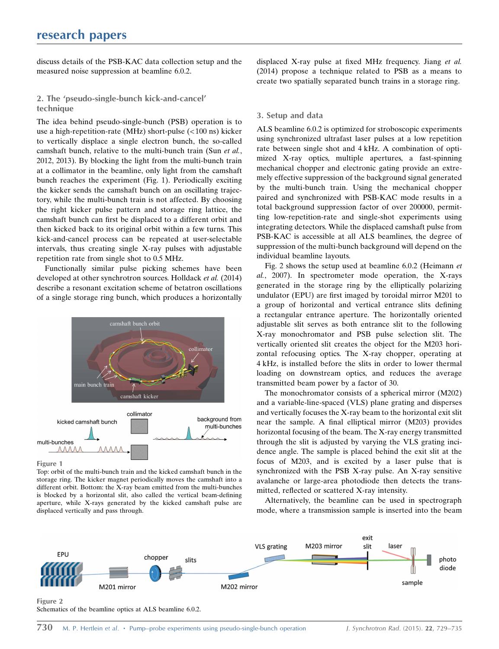discuss details of the PSB-KAC data collection setup and the measured noise suppression at beamline 6.0.2.

2. The 'pseudo-single-bunch kick-and-cancel' technique

The idea behind pseudo-single-bunch (PSB) operation is to use a high-repetition-rate (MHz) short-pulse (<100 ns) kicker to vertically displace a single electron bunch, the so-called camshaft bunch, relative to the multi-bunch train (Sun et al., 2012, 2013). By blocking the light from the multi-bunch train at a collimator in the beamline, only light from the camshaft bunch reaches the experiment (Fig. 1). Periodically exciting the kicker sends the camshaft bunch on an oscillating trajectory, while the multi-bunch train is not affected. By choosing the right kicker pulse pattern and storage ring lattice, the camshaft bunch can first be displaced to a different orbit and then kicked back to its original orbit within a few turns. This kick-and-cancel process can be repeated at user-selectable intervals, thus creating single X-ray pulses with adjustable repetition rate from single shot to 0.5 MHz.

Functionally similar pulse picking schemes have been developed at other synchrotron sources. Holldack et al. (2014) describe a resonant excitation scheme of betatron oscillations of a single storage ring bunch, which produces a horizontally



Figure 1

Top: orbit of the multi-bunch train and the kicked camshaft bunch in the storage ring. The kicker magnet periodically moves the camshaft into a different orbit. Bottom: the X-ray beam emitted from the multi-bunches is blocked by a horizontal slit, also called the vertical beam-defining aperture, while X-rays generated by the kicked camshaft pulse are displaced vertically and pass through.

displaced X-ray pulse at fixed MHz frequency. Jiang et al. (2014) propose a technique related to PSB as a means to create two spatially separated bunch trains in a storage ring.

## 3. Setup and data

ALS beamline 6.0.2 is optimized for stroboscopic experiments using synchronized ultrafast laser pulses at a low repetition rate between single shot and 4 kHz. A combination of optimized X-ray optics, multiple apertures, a fast-spinning mechanical chopper and electronic gating provide an extremely effective suppression of the background signal generated by the multi-bunch train. Using the mechanical chopper paired and synchronized with PSB-KAC mode results in a total background suppression factor of over 200000, permitting low-repetition-rate and single-shot experiments using integrating detectors. While the displaced camshaft pulse from PSB-KAC is accessible at all ALS beamlines, the degree of suppression of the multi-bunch background will depend on the individual beamline layouts.

Fig. 2 shows the setup used at beamline 6.0.2 (Heimann et al., 2007). In spectrometer mode operation, the X-rays generated in the storage ring by the elliptically polarizing undulator (EPU) are first imaged by toroidal mirror M201 to a group of horizontal and vertical entrance slits defining a rectangular entrance aperture. The horizontally oriented adjustable slit serves as both entrance slit to the following X-ray monochromator and PSB pulse selection slit. The vertically oriented slit creates the object for the M203 horizontal refocusing optics. The X-ray chopper, operating at 4 kHz, is installed before the slits in order to lower thermal loading on downstream optics, and reduces the average transmitted beam power by a factor of 30.

The monochromator consists of a spherical mirror (M202) and a variable-line-spaced (VLS) plane grating and disperses and vertically focuses the X-ray beam to the horizontal exit slit near the sample. A final elliptical mirror (M203) provides horizontal focusing of the beam. The X-ray energy transmitted through the slit is adjusted by varying the VLS grating incidence angle. The sample is placed behind the exit slit at the focus of M203, and is excited by a laser pulse that is synchronized with the PSB X-ray pulse. An X-ray sensitive avalanche or large-area photodiode then detects the transmitted, reflected or scattered X-ray intensity.

Alternatively, the beamline can be used in spectrograph mode, where a transmission sample is inserted into the beam



Schematics of the beamline optics at ALS beamline 6.0.2.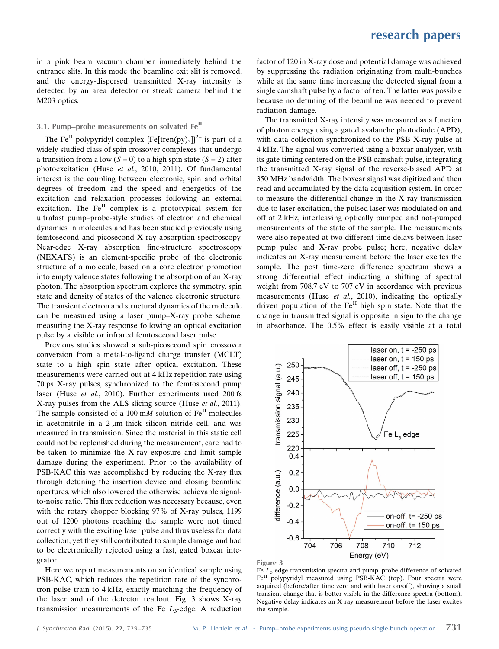in a pink beam vacuum chamber immediately behind the entrance slits. In this mode the beamline exit slit is removed, and the energy-dispersed transmitted X-ray intensity is detected by an area detector or streak camera behind the M203 optics.

## 3.1. Pump–probe measurements on solvated Fe<sup>II</sup>

The Fe<sup>II</sup> polypyridyl complex  $\{Fe[then(py)_3]\}^{2+}$  is part of a widely studied class of spin crossover complexes that undergo a transition from a low  $(S = 0)$  to a high spin state  $(S = 2)$  after photoexcitation (Huse et al., 2010, 2011). Of fundamental interest is the coupling between electronic, spin and orbital degrees of freedom and the speed and energetics of the excitation and relaxation processes following an external excitation. The  $Fe<sup>H</sup>$  complex is a prototypical system for ultrafast pump–probe-style studies of electron and chemical dynamics in molecules and has been studied previously using femtosecond and picosecond X-ray absorption spectroscopy. Near-edge X-ray absorption fine-structure spectroscopy (NEXAFS) is an element-specific probe of the electronic structure of a molecule, based on a core electron promotion into empty valence states following the absorption of an X-ray photon. The absorption spectrum explores the symmetry, spin state and density of states of the valence electronic structure. The transient electron and structural dynamics of the molecule can be measured using a laser pump–X-ray probe scheme, measuring the X-ray response following an optical excitation pulse by a visible or infrared femtosecond laser pulse.

Previous studies showed a sub-picosecond spin crossover conversion from a metal-to-ligand charge transfer (MCLT) state to a high spin state after optical excitation. These measurements were carried out at 4 kHz repetition rate using 70 ps X-ray pulses, synchronized to the femtosecond pump laser (Huse et al., 2010). Further experiments used 200 fs X-ray pulses from the ALS slicing source (Huse et al., 2011). The sample consisted of a 100 mM solution of  $Fe<sup>II</sup>$  molecules in acetonitrile in a  $2 \mu$ m-thick silicon nitride cell, and was measured in transmission. Since the material in this static cell could not be replenished during the measurement, care had to be taken to minimize the X-ray exposure and limit sample damage during the experiment. Prior to the availability of PSB-KAC this was accomplished by reducing the X-ray flux through detuning the insertion device and closing beamline apertures, which also lowered the otherwise achievable signalto-noise ratio. This flux reduction was necessary because, even with the rotary chopper blocking 97% of X-ray pulses, 1199 out of 1200 photons reaching the sample were not timed correctly with the exciting laser pulse and thus useless for data collection, yet they still contributed to sample damage and had to be electronically rejected using a fast, gated boxcar integrator.

Here we report measurements on an identical sample using PSB-KAC, which reduces the repetition rate of the synchrotron pulse train to 4 kHz, exactly matching the frequency of the laser and of the detector readout. Fig. 3 shows X-ray transmission measurements of the Fe  $L_3$ -edge. A reduction factor of 120 in X-ray dose and potential damage was achieved by suppressing the radiation originating from multi-bunches while at the same time increasing the detected signal from a single camshaft pulse by a factor of ten. The latter was possible because no detuning of the beamline was needed to prevent radiation damage.

The transmitted X-ray intensity was measured as a function of photon energy using a gated avalanche photodiode (APD), with data collection synchronized to the PSB X-ray pulse at 4 kHz. The signal was converted using a boxcar analyzer, with its gate timing centered on the PSB camshaft pulse, integrating the transmitted X-ray signal of the reverse-biased APD at 350 MHz bandwidth. The boxcar signal was digitized and then read and accumulated by the data acquisition system. In order to measure the differential change in the X-ray transmission due to laser excitation, the pulsed laser was modulated on and off at 2 kHz, interleaving optically pumped and not-pumped measurements of the state of the sample. The measurements were also repeated at two different time delays between laser pump pulse and X-ray probe pulse; here, negative delay indicates an X-ray measurement before the laser excites the sample. The post time-zero difference spectrum shows a strong differential effect indicating a shifting of spectral weight from 708.7 eV to 707 eV in accordance with previous measurements (Huse et al., 2010), indicating the optically driven population of the  $Fe<sup>H</sup>$  high spin state. Note that the change in transmitted signal is opposite in sign to the change in absorbance. The 0.5% effect is easily visible at a total





Fe  $L_3$ -edge transmission spectra and pump–probe difference of solvated  $Fe<sup>H</sup>$  polypyridyl measured using PSB-KAC (top). Four spectra were acquired (before/after time zero and with laser on/off), showing a small transient change that is better visible in the difference spectra (bottom). Negative delay indicates an X-ray measurement before the laser excites the sample.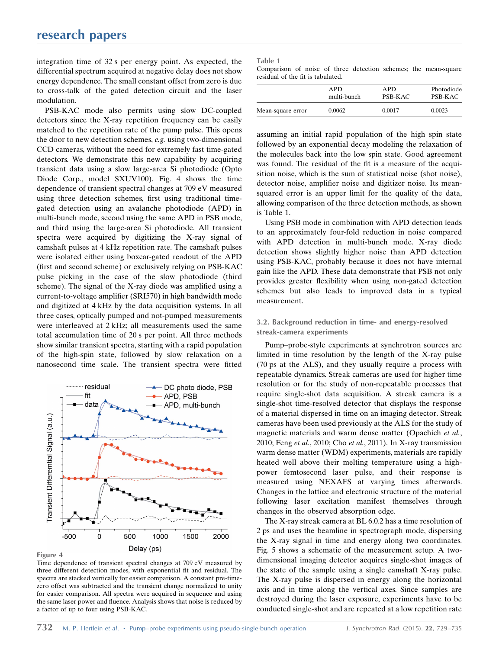integration time of 32 s per energy point. As expected, the differential spectrum acquired at negative delay does not show energy dependence. The small constant offset from zero is due to cross-talk of the gated detection circuit and the laser modulation.

PSB-KAC mode also permits using slow DC-coupled detectors since the X-ray repetition frequency can be easily matched to the repetition rate of the pump pulse. This opens the door to new detection schemes, e.g. using two-dimensional CCD cameras, without the need for extremely fast time-gated detectors. We demonstrate this new capability by acquiring transient data using a slow large-area Si photodiode (Opto Diode Corp., model SXUV100). Fig. 4 shows the time dependence of transient spectral changes at 709 eV measured using three detection schemes, first using traditional timegated detection using an avalanche photodiode (APD) in multi-bunch mode, second using the same APD in PSB mode, and third using the large-area Si photodiode. All transient spectra were acquired by digitizing the X-ray signal of camshaft pulses at 4 kHz repetition rate. The camshaft pulses were isolated either using boxcar-gated readout of the APD (first and second scheme) or exclusively relying on PSB-KAC pulse picking in the case of the slow photodiode (third scheme). The signal of the X-ray diode was amplified using a current-to-voltage amplifier (SRI570) in high bandwidth mode and digitized at 4 kHz by the data acquisition systems. In all three cases, optically pumped and not-pumped measurements were interleaved at 2 kHz; all measurements used the same total accumulation time of 20 s per point. All three methods show similar transient spectra, starting with a rapid population of the high-spin state, followed by slow relaxation on a nanosecond time scale. The transient spectra were fitted



Figure 4

Time dependence of transient spectral changes at 709 eV measured by three different detection modes, with exponential fit and residual. The spectra are stacked vertically for easier comparison. A constant pre-timezero offset was subtracted and the transient change normalized to unity for easier comparison. All spectra were acquired in sequence and using the same laser power and fluence. Analysis shows that noise is reduced by a factor of up to four using PSB-KAC.

| ---- | . .<br>۰. |  |
|------|-----------|--|

Comparison of noise of three detection schemes; the mean-square residual of the fit is tabulated.

|                   | APD.        | APD.           | Photodiode     |
|-------------------|-------------|----------------|----------------|
|                   | multi-bunch | <b>PSB-KAC</b> | <b>PSB-KAC</b> |
| Mean-square error | 0.0062      | 0.0017         | 0.0023         |

assuming an initial rapid population of the high spin state followed by an exponential decay modeling the relaxation of the molecules back into the low spin state. Good agreement was found. The residual of the fit is a measure of the acquisition noise, which is the sum of statistical noise (shot noise), detector noise, amplifier noise and digitizer noise. Its meansquared error is an upper limit for the quality of the data, allowing comparison of the three detection methods, as shown is Table 1.

Using PSB mode in combination with APD detection leads to an approximately four-fold reduction in noise compared with APD detection in multi-bunch mode. X-ray diode detection shows slightly higher noise than APD detection using PSB-KAC, probably because it does not have internal gain like the APD. These data demonstrate that PSB not only provides greater flexibility when using non-gated detection schemes but also leads to improved data in a typical measurement.

## 3.2. Background reduction in time- and energy-resolved streak-camera experiments

Pump–probe-style experiments at synchrotron sources are limited in time resolution by the length of the X-ray pulse (70 ps at the ALS), and they usually require a process with repeatable dynamics. Streak cameras are used for higher time resolution or for the study of non-repeatable processes that require single-shot data acquisition. A streak camera is a single-shot time-resolved detector that displays the response of a material dispersed in time on an imaging detector. Streak cameras have been used previously at the ALS for the study of magnetic materials and warm dense matter (Opachich et al., 2010; Feng et al., 2010; Cho et al., 2011). In X-ray transmission warm dense matter (WDM) experiments, materials are rapidly heated well above their melting temperature using a highpower femtosecond laser pulse, and their response is measured using NEXAFS at varying times afterwards. Changes in the lattice and electronic structure of the material following laser excitation manifest themselves through changes in the observed absorption edge.

The X-ray streak camera at BL 6.0.2 has a time resolution of 2 ps and uses the beamline in spectrograph mode, dispersing the X-ray signal in time and energy along two coordinates. Fig. 5 shows a schematic of the measurement setup. A twodimensional imaging detector acquires single-shot images of the state of the sample using a single camshaft X-ray pulse. The X-ray pulse is dispersed in energy along the horizontal axis and in time along the vertical axes. Since samples are destroyed during the laser exposure, experiments have to be conducted single-shot and are repeated at a low repetition rate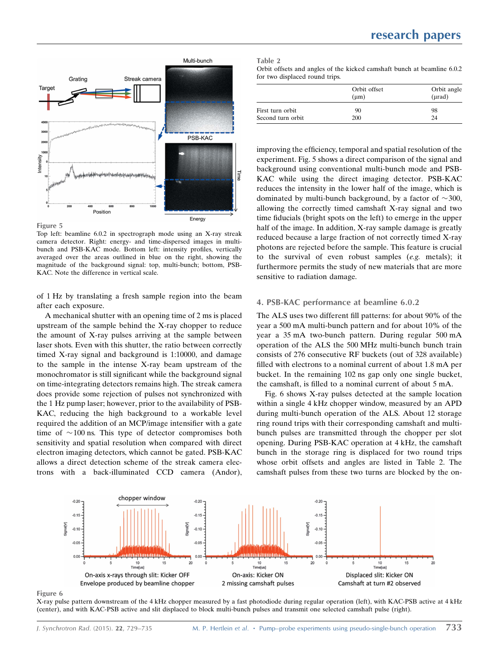

Figure 5

Top left: beamline 6.0.2 in spectrograph mode using an X-ray streak camera detector. Right: energy- and time-dispersed images in multibunch and PSB-KAC mode. Bottom left: intensity profiles, vertically averaged over the areas outlined in blue on the right, showing the magnitude of the background signal: top, multi-bunch; bottom, PSB-KAC. Note the difference in vertical scale.

of 1 Hz by translating a fresh sample region into the beam after each exposure.

A mechanical shutter with an opening time of 2 ms is placed upstream of the sample behind the X-ray chopper to reduce the amount of X-ray pulses arriving at the sample between laser shots. Even with this shutter, the ratio between correctly timed X-ray signal and background is 1:10000, and damage to the sample in the intense X-ray beam upstream of the monochromator is still significant while the background signal on time-integrating detectors remains high. The streak camera does provide some rejection of pulses not synchronized with the 1 Hz pump laser; however, prior to the availability of PSB-KAC, reducing the high background to a workable level required the addition of an MCP/image intensifier with a gate time of  $\sim$ 100 ns. This type of detector compromises both sensitivity and spatial resolution when compared with direct electron imaging detectors, which cannot be gated. PSB-KAC allows a direct detection scheme of the streak camera electrons with a back-illuminated CCD camera (Andor),

| ---- | . .<br>۰. |  |
|------|-----------|--|
|      |           |  |

| Orbit offsets and angles of the kicked camshaft bunch at beamline 6.0.2 |  |  |  |  |
|-------------------------------------------------------------------------|--|--|--|--|
| for two displaced round trips.                                          |  |  |  |  |

|                   | Orbit offset<br>$(\mu m)$ | Orbit angle<br>$(\mu rad)$ |  |  |
|-------------------|---------------------------|----------------------------|--|--|
| First turn orbit  | 90                        | 98                         |  |  |
| Second turn orbit | 200                       | 24                         |  |  |

improving the efficiency, temporal and spatial resolution of the experiment. Fig. 5 shows a direct comparison of the signal and background using conventional multi-bunch mode and PSB-KAC while using the direct imaging detector. PSB-KAC reduces the intensity in the lower half of the image, which is dominated by multi-bunch background, by a factor of  $\sim$  300, allowing the correctly timed camshaft X-ray signal and two time fiducials (bright spots on the left) to emerge in the upper half of the image. In addition, X-ray sample damage is greatly reduced because a large fraction of not correctly timed X-ray photons are rejected before the sample. This feature is crucial to the survival of even robust samples (e.g. metals); it furthermore permits the study of new materials that are more sensitive to radiation damage.

#### 4. PSB-KAC performance at beamline 6.0.2

The ALS uses two different fill patterns: for about 90% of the year a 500 mA multi-bunch pattern and for about 10% of the year a 35 mA two-bunch pattern. During regular 500 mA operation of the ALS the 500 MHz multi-bunch bunch train consists of 276 consecutive RF buckets (out of 328 available) filled with electrons to a nominal current of about 1.8 mA per bucket. In the remaining 102 ns gap only one single bucket, the camshaft, is filled to a nominal current of about 5 mA.

Fig. 6 shows X-ray pulses detected at the sample location within a single 4 kHz chopper window, measured by an APD during multi-bunch operation of the ALS. About 12 storage ring round trips with their corresponding camshaft and multibunch pulses are transmitted through the chopper per slot opening. During PSB-KAC operation at 4 kHz, the camshaft bunch in the storage ring is displaced for two round trips whose orbit offsets and angles are listed in Table 2. The camshaft pulses from these two turns are blocked by the on-



Figure 6

X-ray pulse pattern downstream of the 4 kHz chopper measured by a fast photodiode during regular operation (left), with KAC-PSB active at 4 kHz (center), and with KAC-PSB active and slit displaced to block multi-bunch pulses and transmit one selected camshaft pulse (right).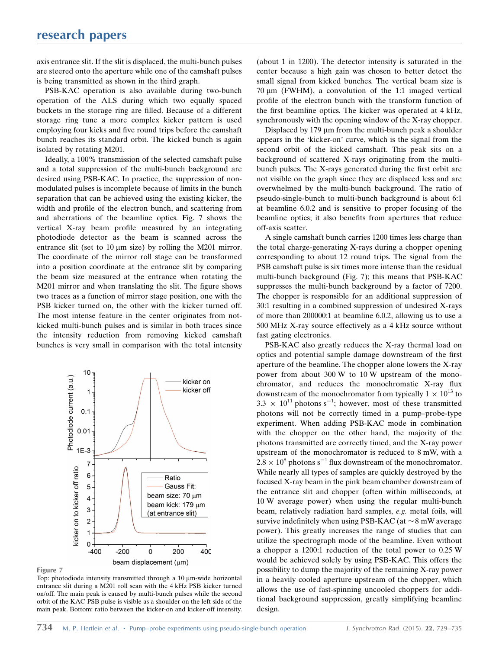axis entrance slit. If the slit is displaced, the multi-bunch pulses are steered onto the aperture while one of the camshaft pulses is being transmitted as shown in the third graph.

PSB-KAC operation is also available during two-bunch operation of the ALS during which two equally spaced buckets in the storage ring are filled. Because of a different storage ring tune a more complex kicker pattern is used employing four kicks and five round trips before the camshaft bunch reaches its standard orbit. The kicked bunch is again isolated by rotating M201.

Ideally, a 100% transmission of the selected camshaft pulse and a total suppression of the multi-bunch background are desired using PSB-KAC. In practice, the suppression of nonmodulated pulses is incomplete because of limits in the bunch separation that can be achieved using the existing kicker, the width and profile of the electron bunch, and scattering from and aberrations of the beamline optics. Fig. 7 shows the vertical X-ray beam profile measured by an integrating photodiode detector as the beam is scanned across the entrance slit (set to  $10 \mu m$  size) by rolling the M201 mirror. The coordinate of the mirror roll stage can be transformed into a position coordinate at the entrance slit by comparing the beam size measured at the entrance when rotating the M201 mirror and when translating the slit. The figure shows two traces as a function of mirror stage position, one with the PSB kicker turned on, the other with the kicker turned off. The most intense feature in the center originates from notkicked multi-bunch pulses and is similar in both traces since the intensity reduction from removing kicked camshaft bunches is very small in comparison with the total intensity



Figure 7

Top: photodiode intensity transmitted through a 10 µm-wide horizontal entrance slit during a M201 roll scan with the 4 kHz PSB kicker turned on/off. The main peak is caused by multi-bunch pulses while the second orbit of the KAC-PSB pulse is visible as a shoulder on the left side of the main peak. Bottom: ratio between the kicker-on and kicker-off intensity.

(about 1 in 1200). The detector intensity is saturated in the center because a high gain was chosen to better detect the small signal from kicked bunches. The vertical beam size is 70 um (FWHM), a convolution of the 1:1 imaged vertical profile of the electron bunch with the transform function of the first beamline optics. The kicker was operated at 4 kHz, synchronously with the opening window of the X-ray chopper.

Displaced by  $179 \mu m$  from the multi-bunch peak a shoulder appears in the 'kicker-on' curve, which is the signal from the second orbit of the kicked camshaft. This peak sits on a background of scattered X-rays originating from the multibunch pulses. The X-rays generated during the first orbit are not visible on the graph since they are displaced less and are overwhelmed by the multi-bunch background. The ratio of pseudo-single-bunch to multi-bunch background is about 6:1 at beamline 6.0.2 and is sensitive to proper focusing of the beamline optics; it also benefits from apertures that reduce off-axis scatter.

A single camshaft bunch carries 1200 times less charge than the total charge-generating X-rays during a chopper opening corresponding to about 12 round trips. The signal from the PSB camshaft pulse is six times more intense than the residual multi-bunch background (Fig. 7); this means that PSB-KAC suppresses the multi-bunch background by a factor of 7200. The chopper is responsible for an additional suppression of 30:1 resulting in a combined suppression of undesired X-rays of more than 200000:1 at beamline 6.0.2, allowing us to use a 500 MHz X-ray source effectively as a 4 kHz source without fast gating electronics.

PSB-KAC also greatly reduces the X-ray thermal load on optics and potential sample damage downstream of the first aperture of the beamline. The chopper alone lowers the X-ray power from about 300 W to 10 W upstream of the monochromator, and reduces the monochromatic X-ray flux downstream of the monochromator from typically  $1 \times 10^{13}$  to  $3.3 \times 10^{11}$  photons s<sup>-1</sup>; however, most of these transmitted photons will not be correctly timed in a pump–probe-type experiment. When adding PSB-KAC mode in combination with the chopper on the other hand, the majority of the photons transmitted are correctly timed, and the X-ray power upstream of the monochromator is reduced to 8 mW, with a  $2.8 \times 10^8$  photons s<sup>-1</sup> flux downstream of the monochromator. While nearly all types of samples are quickly destroyed by the focused X-ray beam in the pink beam chamber downstream of the entrance slit and chopper (often within milliseconds, at 10 W average power) when using the regular multi-bunch beam, relatively radiation hard samples, e.g. metal foils, will survive indefinitely when using PSB-KAC (at  $\sim$  8 mW average power). This greatly increases the range of studies that can utilize the spectrograph mode of the beamline. Even without a chopper a 1200:1 reduction of the total power to 0.25 W would be achieved solely by using PSB-KAC. This offers the possibility to dump the majority of the remaining X-ray power in a heavily cooled aperture upstream of the chopper, which allows the use of fast-spinning uncooled choppers for additional background suppression, greatly simplifying beamline design.